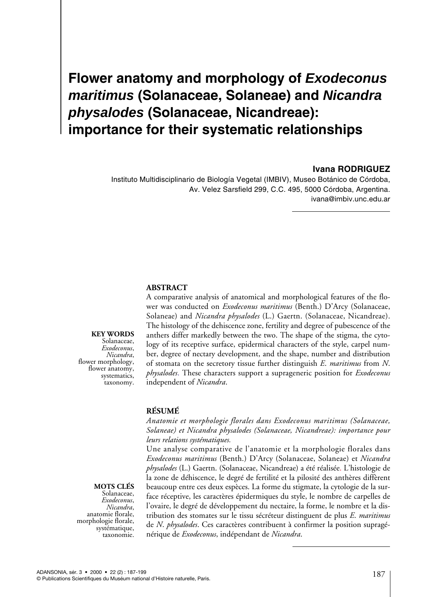# **Flower anatomy and morphology of Exodeconus maritimus (Solanaceae, Solaneae) and Nicandra physalodes (Solanaceae, Nicandreae): importance for their systematic relationships**

## **Ivana RODRIGUEZ**

Instituto Multidisciplinario de Biología Vegetal (IMBIV), Museo Botánico de Córdoba, Av. Velez Sarsfield 299, C.C. 495, 5000 Córdoba, Argentina. ivana@imbiv.unc.edu.ar

## **ABSTRACT**

**KEY WORDS**

Solanaceae,<br>Exodeconus, *Exodeconus*, *Nicandra*, flower morphology, flower anatomy, systematics, taxonomy.

**MOTS CLÉS** 

Solanaceae,<br>Exodeconus, *Exodeconus*, *Nicandra*, anatomie florale, morphologie florale, systématique, taxonomie. A comparative analysis of anatomical and morphological features of the flower was conducted on *Exodeconus maritimus* (Benth.) D'Arcy (Solanaceae, Solaneae) and *Nicandra physalodes* (L.) Gaertn. (Solanaceae, Nicandreae). The histology of the dehiscence zone, fertility and degree of pubescence of the anthers differ markedly between the two. The shape of the stigma, the cytology of its receptive surface, epidermical characters of the style, carpel number, degree of nectary development, and the shape, number and distribution of stomata on the secretory tissue further distinguish *E*. *maritimus* from *N*. *physalodes*. These characters support a suprageneric position for *Exodeconus* independent of *Nicandra*.

# **RÉSUMÉ**

*Anatomie et morphologie florales dans Exodeconus maritimus (Solanaceae, Solaneae) et Nicandra physalodes (Solanaceae, Nicandreae): importance pour leurs relations systématiques.*

Une analyse comparative de l'anatomie et la morphologie florales dans *Exodeconus maritimus* (Benth.) D'Arcy (Solanaceae, Solaneae) et *Nicandra physalodes* (L.) Gaertn. (Solanaceae, Nicandreae) a été réalisée. L'histologie de la zone de déhiscence, le degré de fertilité et la pilosité des anthères diffèrent beaucoup entre ces deux espèces. La forme du stigmate, la cytologie de la surface réceptive, les caractères épidermiques du style, le nombre de carpelles de l'ovaire, le degré de développement du nectaire, la forme, le nombre et la distribution des stomates sur le tissu sécréteur distinguent de plus *E*. *maritimus* de *N*. *physalodes*. Ces caractères contribuent à confirmer la position supragénérique de *Exodeconus*, indépendant de *Nicandra*.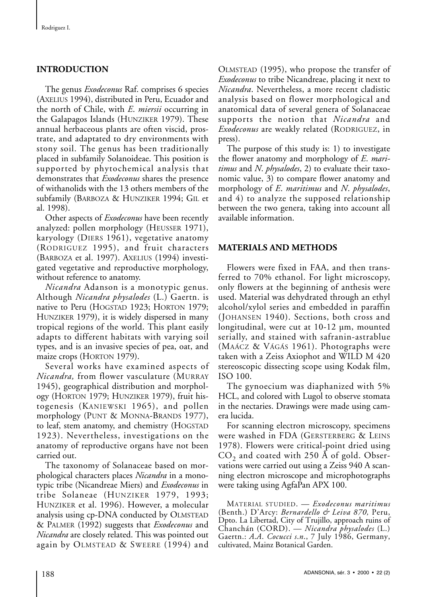# **INTRODUCTION**

The genus *Exodeconus* Raf. comprises 6 species (AXELIUS 1994), distributed in Peru, Ecuador and the north of Chile, with *E*. *miersii* occurring in the Galapagos Islands (HUNZIKER 1979). These annual herbaceous plants are often viscid, prostrate, and adaptated to dry environments with stony soil. The genus has been traditionally placed in subfamily Solanoideae. This position is supported by phytochemical analysis that demonstrates that *Exodeconus* shares the presence of withanolids with the 13 others members of the subfamily (BARBOZA & HUNZIKER 1994; GIL et al. 1998).

Other aspects of *Exodeconus* have been recently analyzed: pollen morphology (HEUSSER 1971), karyology (DIERS 1961), vegetative anatomy (RODRIGUEZ 1995), and fruit characters (BARBOZA et al. 1997). AXELIUS (1994) investigated vegetative and reproductive morphology, without reference to anatomy.

*Nicandra* Adanson is a monotypic genus. Although *Nicandra physalodes* (L.) Gaertn. is native to Peru (HOGSTAD 1923; HORTON 1979; HUNZIKER 1979), it is widely dispersed in many tropical regions of the world. This plant easily adapts to different habitats with varying soil types, and is an invasive species of pea, oat, and maize crops (HORTON 1979).

Several works have examined aspects of *Nicandra,* from flower vasculature (MURRAY 1945), geographical distribution and morphology (HORTON 1979; HUNZIKER 1979), fruit histogenesis (KANIEWSKI 1965), and pollen morphology (PUNT & MONNA-BRANDS 1977), to leaf, stem anatomy, and chemistry (HOGSTAD 1923). Nevertheless, investigations on the anatomy of reproductive organs have not been carried out.

The taxonomy of Solanaceae based on morphological characters places *Nicandra* in a monotypic tribe (Nicandreae Miers) and *Exodeconus* in tribe Solaneae (HUNZIKER 1979, 1993; HUNZIKER et al. 1996). However, a molecular analysis using cp-DNA conducted by OLMSTEAD & PALMER (1992) suggests that *Exodeconus* and *Nicandra* are closely related. This was pointed out again by OLMSTEAD & SWEERE (1994) and OLMSTEAD (1995), who propose the transfer of *Exodeconus* to tribe Nicandreae, placing it next to *Nicandra*. Nevertheless, a more recent cladistic analysis based on flower morphological and anatomical data of several genera of Solanaceae supports the notion that *Nicandra* and *Exodeconus* are weakly related (RODRIGUEZ, in press).

The purpose of this study is: 1) to investigate the flower anatomy and morphology of *E*. *maritimus* and *N*. *physalodes*, 2) to evaluate their taxonomic value, 3) to compare flower anatomy and morphology of *E*. *maritimus* and *N*. *physalodes*, and 4) to analyze the supposed relationship between the two genera, taking into account all available information.

## **MATERIALS AND METHODS**

Flowers were fixed in FAA, and then transferred to 70% ethanol. For light microscopy, only flowers at the beginning of anthesis were used. Material was dehydrated through an ethyl alcohol/xylol series and embedded in paraffin (JOHANSEN 1940). Sections, both cross and longitudinal, were cut at 10-12 µm, mounted serially, and stained with safranin-astrablue (MAÁCZ & VÁGÁS 1961). Photographs were taken with a Zeiss Axiophot and WILD M 420 stereoscopic dissecting scope using Kodak film, ISO 100.

The gynoecium was diaphanized with 5% HCL, and colored with Lugol to observe stomata in the nectaries. Drawings were made using camera lucida.

For scanning electron microscopy, specimens were washed in FDA (GERSTERBERG & LEINS 1978). Flowers were critical-point dried using  $CO<sub>2</sub>$  and coated with 250 Å of gold. Observations were carried out using a Zeiss 940 A scanning electron microscope and microphotographs were taking using AgfaPan APX 100.

MATERIALSTUDIED. — *Exodeconus maritimus* (Benth.) D'Arcy: *Bernardello & Leiva 870,* Peru, Dpto. La Libertad, City of Trujillo, approach ruins of Chanchán (CORD). — *Nicandra physalodes* (L.) Gaertn.: *A*.*A*. *Cocucci s*.*n*., 7 July 1986, Germany, cultivated, Mainz Botanical Garden.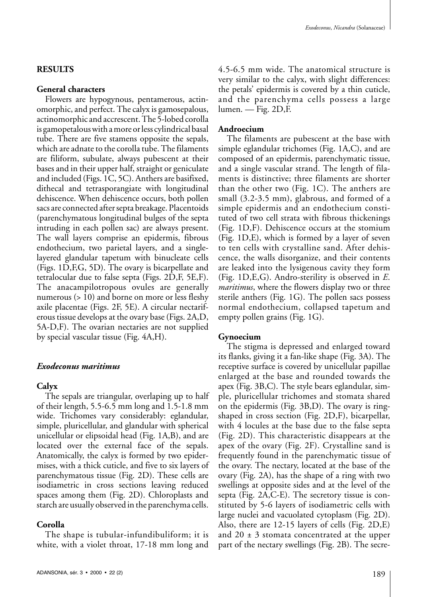## **RESULTS**

## **General characters**

Flowers are hypogynous, pentamerous, actinomorphic, and perfect. The calyx is gamosepalous, actinomorphic and accrescent. The 5-lobed corolla is gamopetalous with a more or less cylindrical basal tube. There are five stamens opposite the sepals, which are adnate to the corolla tube. The filaments are filiform, subulate, always pubescent at their bases and in their upper half, straight or geniculate and included (Figs. 1C, 5C). Anthers are basifixed, dithecal and tetrasporangiate with longitudinal dehiscence. When dehiscence occurs, both pollen sacs are connected after septa breakage. Placentoids (parenchymatous longitudinal bulges of the septa intruding in each pollen sac) are always present. The wall layers comprise an epidermis, fibrous endothecium, two parietal layers, and a singlelayered glandular tapetum with binucleate cells (Figs. 1D,F,G, 5D). The ovary is bicarpellate and tetralocular due to false septa (Figs. 2D,F, 5E,F). The anacampilotropous ovules are generally numerous (> 10) and borne on more or less fleshy axile placentae (Figs. 2F, 5E). A circular nectariferous tissue develops at the ovary base (Figs. 2A,D, 5A-D,F). The ovarian nectaries are not supplied by special vascular tissue (Fig. 4A,H).

#### *Exodeconus maritimus*

#### **Calyx**

The sepals are triangular, overlaping up to half of their length, 5.5-6.5 mm long and 1.5-1.8 mm wide. Trichomes vary considerably: eglandular, simple, pluricellular, and glandular with spherical unicellular or elipsoidal head (Fig. 1A,B), and are located over the external face of the sepals. Anatomically, the calyx is formed by two epidermises, with a thick cuticle, and five to six layers of parenchymatous tissue (Fig. 2D). These cells are isodiametric in cross sections leaving reduced spaces among them (Fig. 2D). Chloroplasts and starch are usually observed in the parenchyma cells.

#### **Corolla**

The shape is tubular-infundibuliform; it is white, with a violet throat, 17-18 mm long and 4.5-6.5 mm wide. The anatomical structure is very similar to the calyx, with slight differences: the petals' epidermis is covered by a thin cuticle, and the parenchyma cells possess a large lumen. — Fig. 2D,F.

#### **Androecium**

The filaments are pubescent at the base with simple eglandular trichomes (Fig. 1A,C), and are composed of an epidermis, parenchymatic tissue, and a single vascular strand. The length of filaments is distinctive; three filaments are shorter than the other two (Fig. 1C). The anthers are small (3.2-3.5 mm), glabrous, and formed of a simple epidermis and an endothecium constituted of two cell strata with fibrous thickenings (Fig. 1D,F). Dehiscence occurs at the stomium (Fig. 1D,E), which is formed by a layer of seven to ten cells with crystalline sand. After dehiscence, the walls disorganize, and their contents are leaked into the lysigenous cavity they form (Fig. 1D,E,G). Andro-sterility is observed in *E*. *maritimus*, where the flowers display two or three sterile anthers (Fig. 1G). The pollen sacs possess normal endothecium, collapsed tapetum and empty pollen grains (Fig. 1G).

#### **Gynoecium**

The stigma is depressed and enlarged toward its flanks, giving it a fan-like shape (Fig. 3A). The receptive surface is covered by unicellular papillae enlarged at the base and rounded towards the apex (Fig. 3B,C). The style bears eglandular, simple, pluricellular trichomes and stomata shared on the epidermis (Fig. 3B,D). The ovary is ringshaped in cross section (Fig. 2D,F), bicarpellar, with 4 locules at the base due to the false septa (Fig. 2D). This characteristic disappears at the apex of the ovary (Fig. 2F). Crystalline sand is frequently found in the parenchymatic tissue of the ovary. The nectary, located at the base of the ovary (Fig. 2A), has the shape of a ring with two swellings at opposite sides and at the level of the septa (Fig. 2A,C-E). The secretory tissue is constituted by 5-6 layers of isodiametric cells with large nuclei and vacuolated cytoplasm (Fig. 2D). Also, there are 12-15 layers of cells (Fig. 2D,E) and  $20 \pm 3$  stomata concentrated at the upper part of the nectary swellings (Fig. 2B). The secre-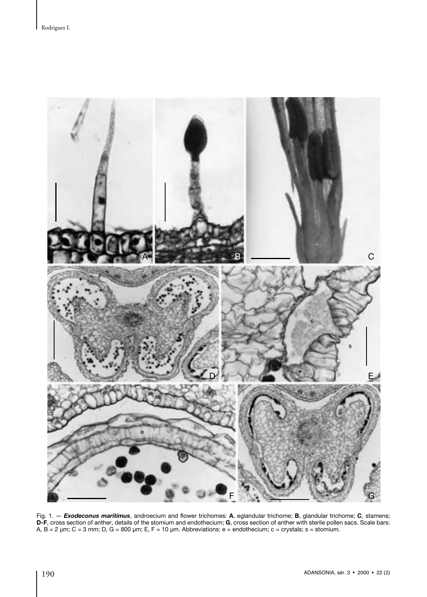

Fig. 1. — *Exodeconus maritimus*, androecium and flower trichomes: **A**, eglandular trichome; **B**, glandular trichome; **C**, stamens; **D-F**, cross section of anther, details of the stomium and endothecium; **G**, cross section of anther with sterile pollen sacs. Scale bars: A, B = 2 µm; C = 3 mm; D, G = 800 µm; E, F = 10 µm. Abbreviations: e = endothecium; c = crystals; s = stomium.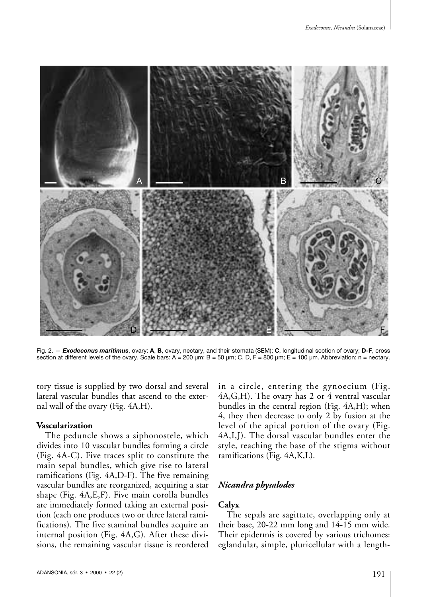

Fig. 2. — *Exodeconus maritimus*, ovary: **A**, **B**, ovary, nectary, and their stomata (SEM); **C**, longitudinal section of ovary; **D-F**, cross section at different levels of the ovary. Scale bars:  $A = 200 \mu m$ ;  $B = 50 \mu m$ ;  $C$ ,  $D$ ,  $F = 800 \mu m$ ;  $E = 100 \mu m$ . Abbreviation: n = nectary.

tory tissue is supplied by two dorsal and several lateral vascular bundles that ascend to the external wall of the ovary (Fig. 4A,H).

#### **Vascularization**

The peduncle shows a siphonostele, which divides into 10 vascular bundles forming a circle (Fig. 4A-C). Five traces split to constitute the main sepal bundles, which give rise to lateral ramifications (Fig. 4A,D-F). The five remaining vascular bundles are reorganized, acquiring a star shape (Fig. 4A,E,F). Five main corolla bundles are immediately formed taking an external position (each one produces two or three lateral ramifications). The five staminal bundles acquire an internal position (Fig. 4A,G). After these divisions, the remaining vascular tissue is reordered

in a circle, entering the gynoecium (Fig. 4A,G,H). The ovary has 2 or 4 ventral vascular bundles in the central region (Fig. 4A,H); when 4, they then decrease to only 2 by fusion at the level of the apical portion of the ovary (Fig. 4A,I,J). The dorsal vascular bundles enter the style, reaching the base of the stigma without ramifications (Fig. 4A,K,L).

## *Nicandra physalodes*

# **Calyx**

The sepals are sagittate, overlapping only at their base, 20-22 mm long and 14-15 mm wide. Their epidermis is covered by various trichomes: eglandular, simple, pluricellular with a length-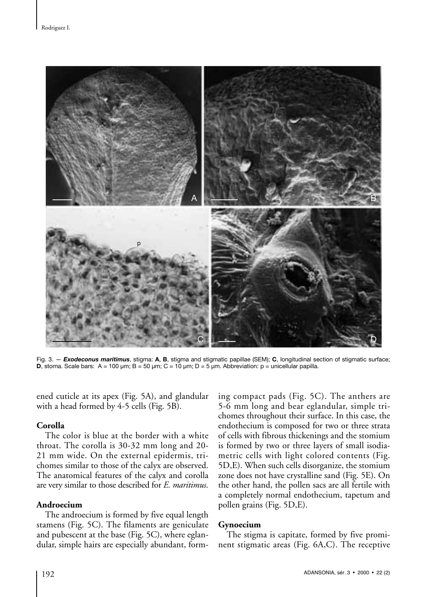

Fig. 3. — *Exodeconus maritimus*, stigma: **A**, **B**, stigma and stigmatic papillae (SEM); **C**, longitudinal section of stigmatic surface; **D**, stoma. Scale bars:  $A = 100 \text{ µm}$ ;  $B = 50 \text{ µm}$ ;  $C = 10 \text{ µm}$ ;  $D = 5 \text{ µm}$ . Abbreviation:  $p = \text{unicellular papilla}$ .

ened cuticle at its apex (Fig. 5A), and glandular with a head formed by 4-5 cells (Fig. 5B).

#### **Corolla**

The color is blue at the border with a white throat. The corolla is 30-32 mm long and 20- 21 mm wide. On the external epidermis, trichomes similar to those of the calyx are observed. The anatomical features of the calyx and corolla are very similar to those described for *E. maritimus*.

## **Androecium**

The androecium is formed by five equal length stamens (Fig. 5C). The filaments are geniculate and pubescent at the base (Fig. 5C), where eglandular, simple hairs are especially abundant, forming compact pads (Fig. 5C). The anthers are 5-6 mm long and bear eglandular, simple trichomes throughout their surface. In this case, the endothecium is composed for two or three strata of cells with fibrous thickenings and the stomium is formed by two or three layers of small isodiametric cells with light colored contents (Fig. 5D,E). When such cells disorganize, the stomium zone does not have crystalline sand (Fig. 5E). On the other hand, the pollen sacs are all fertile with a completely normal endothecium, tapetum and pollen grains (Fig. 5D,E).

#### **Gynoecium**

The stigma is capitate, formed by five prominent stigmatic areas (Fig. 6A,C). The receptive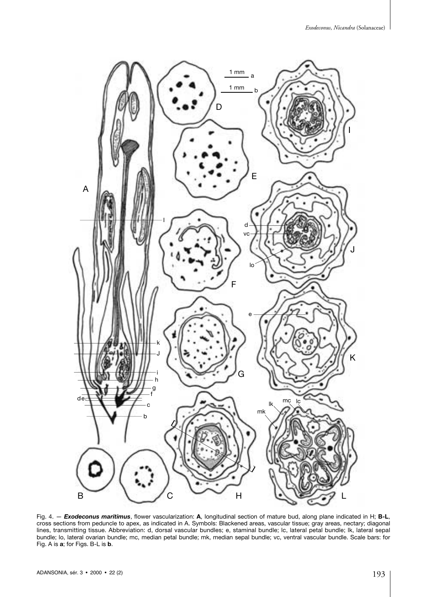

Fig. 4. — *Exodeconus maritimus*, flower vascularization: **A**, longitudinal section of mature bud, along plane indicated in H; **B-L**, cross sections from peduncle to apex, as indicated in A. Symbols: Blackened areas, vascular tissue; gray areas, nectary; diagonal lines, transmitting tissue. Abbreviation: d, dorsal vascular bundles; e, staminal bundle; lc, lateral petal bundle; lk, lateral sepal bundle; lo, lateral ovarian bundle; mc, median petal bundle; mk, median sepal bundle; vc, ventral vascular bundle. Scale bars: for Fig. A is **a**; for Figs. B-L is **b**.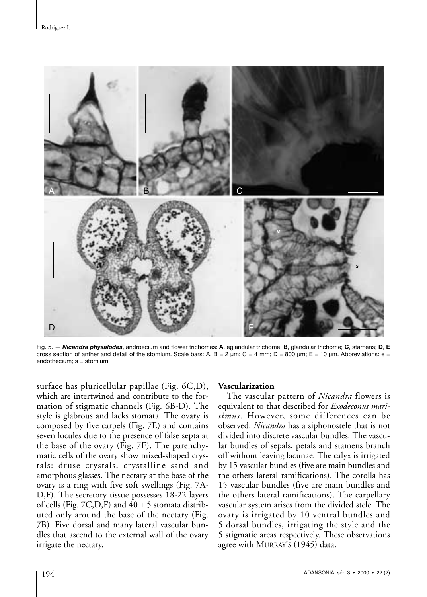

Fig. 5. — *Nicandra physalodes*, androecium and flower trichomes: **A**, eglandular trichome; **B**, glandular trichome; **C**, stamens; **D**, **E** cross section of anther and detail of the stomium. Scale bars: A, B = 2  $\mu$ m; C = 4 mm; D = 800  $\mu$ m; E = 10  $\mu$ m. Abbreviations: e = endothecium; s = stomium.

surface has pluricellular papillae (Fig. 6C,D), which are intertwined and contribute to the formation of stigmatic channels (Fig. 6B-D). The style is glabrous and lacks stomata. The ovary is composed by five carpels (Fig. 7E) and contains seven locules due to the presence of false septa at the base of the ovary (Fig. 7F). The parenchymatic cells of the ovary show mixed-shaped crystals: druse crystals, crystalline sand and amorphous glasses. The nectary at the base of the ovary is a ring with five soft swellings (Fig. 7A-D,F). The secretory tissue possesses 18-22 layers of cells (Fig. 7C, D, F) and  $40 \pm 5$  stomata distributed only around the base of the nectary (Fig. 7B). Five dorsal and many lateral vascular bundles that ascend to the external wall of the ovary irrigate the nectary.

#### **Vascularization**

The vascular pattern of *Nicandra* flowers is equivalent to that described for *Exodeconus maritimus*. However, some differences can be observed. *Nicandra* has a siphonostele that is not divided into discrete vascular bundles. The vascular bundles of sepals, petals and stamens branch off without leaving lacunae. The calyx is irrigated by 15 vascular bundles (five are main bundles and the others lateral ramifications). The corolla has 15 vascular bundles (five are main bundles and the others lateral ramifications). The carpellary vascular system arises from the divided stele. The ovary is irrigated by 10 ventral bundles and 5 dorsal bundles, irrigating the style and the 5 stigmatic areas respectively. These observations agree with MURRAY'S (1945) data.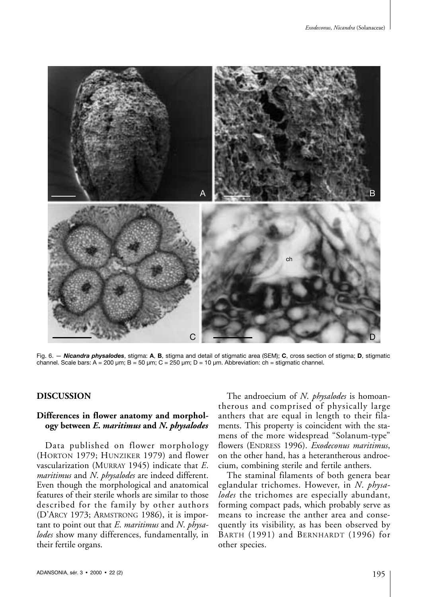

Fig. 6. — *Nicandra physalodes*, stigma: **A**, **B**, stigma and detail of stigmatic area (SEM); **C**, cross section of stigma; **D**, stigmatic channel. Scale bars:  $A = 200 \mu m$ ;  $B = 50 \mu m$ ;  $C = 250 \mu m$ ;  $D = 10 \mu m$ . Abbreviation: ch = stigmatic channel.

# **DISCUSSION**

# **Differences in flower anatomy and morphology between** *E***.** *maritimus* **and** *N***.** *physalodes*

Data published on flower morphology (HORTON 1979; HUNZIKER 1979) and flower vascularization (MURRAY 1945) indicate that *E*. *maritimus* and *N*. *physalodes* are indeed different. Even though the morphological and anatomical features of their sterile whorls are similar to those described for the family by other authors (D'ARCY 1973; ARMSTRONG 1986), it is important to point out that *E*. *maritimus* and *N*. *physalodes* show many differences, fundamentally, in their fertile organs.

The androecium of *N*. *physalodes* is homoantherous and comprised of physically large anthers that are equal in length to their filaments. This property is coincident with the stamens of the more widespread "Solanum-type" flowers (ENDRESS 1996). *Exodeconus maritimus*, on the other hand, has a heterantherous androecium, combining sterile and fertile anthers.

The staminal filaments of both genera bear eglandular trichomes. However, in *N*. *physalodes* the trichomes are especially abundant, forming compact pads, which probably serve as means to increase the anther area and consequently its visibility, as has been observed by BARTH (1991) and BERNHARDT (1996) for other species.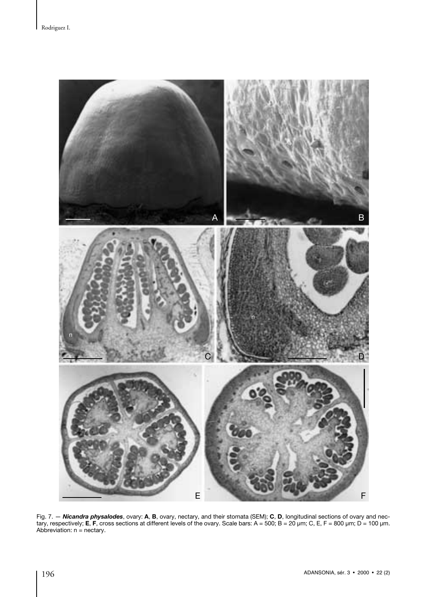

Fig. 7. — *Nicandra physalodes*, ovary: **A**, **B**, ovary, nectary, and their stomata (SEM); **C**, **D**, longitudinal sections of ovary and nectary, respectively; **E**, **F**, cross sections at different levels of the ovary. Scale bars: A = 500; B = 20 µm; C, E, F = 800 µm; D = 100 µm. Abbreviation: n = nectary.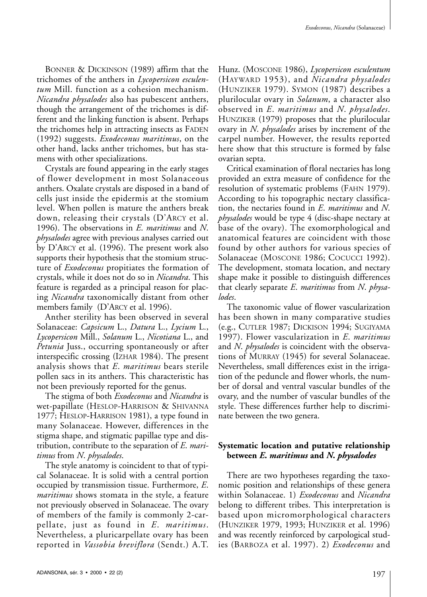BONNER & DICKINSON (1989) affirm that the trichomes of the anthers in *Lycopersicon esculentum* Mill. function as a cohesion mechanism. *Nicandra physalodes* also has pubescent anthers, though the arrangement of the trichomes is different and the linking function is absent. Perhaps the trichomes help in attracting insects as FADEN (1992) suggests. *Exodeconus maritimus*, on the other hand, lacks anther trichomes, but has stamens with other specializations.

Crystals are found appearing in the early stages of flower development in most Solanaceous anthers. Oxalate crystals are disposed in a band of cells just inside the epidermis at the stomium level. When pollen is mature the anthers break down, releasing their crystals (D'ARCY et al. 1996). The observations in *E*. *maritimus* and *N*. *physalodes* agree with previous analyses carried out by D'ARCY et al. (1996). The present work also supports their hypothesis that the stomium structure of *Exodeconus* propitiates the formation of crystals, while it does not do so in *Nicandra*. This feature is regarded as a principal reason for placing *Nicandra* taxonomically distant from other members family (D'ARCY et al. 1996).

Anther sterility has been observed in several Solanaceae: *Capsicum* L., *Datura* L., *Lycium* L., *Lycopersicon* Mill., *Solanum* L., *Nicotiana* L., and *Petunia* Juss., occurring spontaneously or after interspecific crossing (IZHAR 1984). The present analysis shows that *E*. *maritimus* bears sterile pollen sacs in its anthers. This characteristic has not been previously reported for the genus.

The stigma of both *Exodeconus* and *Nicandra* is wet-papillate (HESLOP-HARRISON & SHIVANNA 1977; HESLOP-HARRISON 1981), a type found in many Solanaceae. However, differences in the stigma shape, and stigmatic papillae type and distribution, contribute to the separation of *E*. *maritimus* from *N*. *physalodes*.

The style anatomy is coincident to that of typical Solanaceae. It is solid with a central portion occupied by transmission tissue. Furthermore, *E*. *maritimus* shows stomata in the style, a feature not previously observed in Solanaceae. The ovary of members of the family is commonly 2-carpellate, just as found in *E*. *maritimus*. Nevertheless, a pluricarpellate ovary has been reported in *Vassobia breviflora* (Sendt.) A.T.

Hunz. (MOSCONE 1986), *Lycopersicon esculentum* (HAYWARD 1953), and *Nicandra physalodes* (HUNZIKER 1979). SYMON (1987) describes a plurilocular ovary in *Solanum*, a character also observed in *E*. *maritimus* and *N*. *physalodes*. HUNZIKER (1979) proposes that the plurilocular ovary in *N*. *physalodes* arises by increment of the carpel number. However, the results reported here show that this structure is formed by false ovarian septa.

Critical examination of floral nectaries has long provided an extra measure of confidence for the resolution of systematic problems (FAHN 1979). According to his topographic nectary classification, the nectaries found in *E*. *maritimus* and *N*. *physalodes* would be type 4 (disc-shape nectary at base of the ovary). The exomorphological and anatomical features are coincident with those found by other authors for various species of Solanaceae (MOSCONE 1986; COCUCCI 1992). The development, stomata location, and nectary shape make it possible to distinguish differences that clearly separate *E*. *maritimus* from *N*. *physalodes*.

The taxonomic value of flower vascularization has been shown in many comparative studies (e.g., CUTLER 1987; DICKISON 1994; SUGIYAMA 1997). Flower vascularization in *E*. *maritimus* and *N*. *physalodes* is coincident with the observations of MURRAY (1945) for several Solanaceae. Nevertheless, small differences exist in the irrigation of the peduncle and flower whorls, the number of dorsal and ventral vascular bundles of the ovary, and the number of vascular bundles of the style. These differences further help to discriminate between the two genera.

# **Systematic location and putative relationship between** *E***.** *maritimus* **and** *N***.** *physalodes*

There are two hypotheses regarding the taxonomic position and relationships of these genera within Solanaceae. 1) *Exodeconus* and *Nicandra* belong to different tribes. This interpretation is based upon micromorphological characters (HUNZIKER 1979, 1993; HUNZIKER et al. 1996) and was recently reinforced by carpological studies (BARBOZA et al. 1997). 2) *Exodeconus* and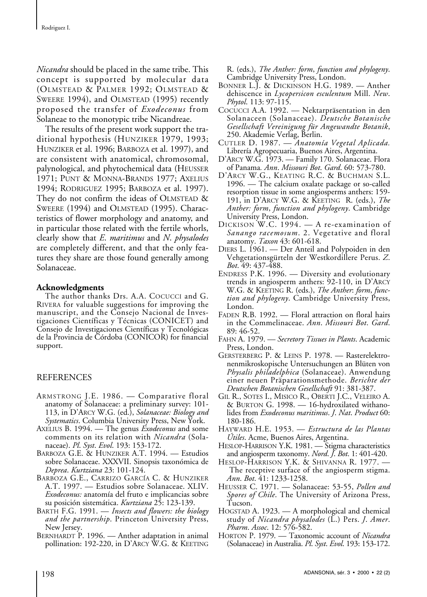*Nicandra* should be placed in the same tribe. This concept is supported by molecular data (OLMSTEAD & PALMER 1992; OLMSTEAD & SWEERE 1994), and OLMSTEAD (1995) recently proposed the transfer of *Exodeconus* from Solaneae to the monotypic tribe Nicandreae.

The results of the present work support the traditional hypothesis (HUNZIKER 1979, 1993; HUNZIKER et al. 1996; BARBOZA et al. 1997), and are consistent with anatomical, chromosomal, palynological, and phytochemical data (HEUSSER 1971; PUNT & MONNA-BRANDS 1977; AXELIUS 1994; RODRIGUEZ 1995; BARBOZA et al. 1997). They do not confirm the ideas of OLMSTEAD & SWEERE (1994) and OLMSTEAD (1995). Characteristics of flower morphology and anatomy, and in particular those related with the fertile whorls, clearly show that *E*. *maritimus* and *N*. *physalodes* are completely different, and that the only features they share are those found generally among Solanaceae.

## **Acknowledgments**

The author thanks Drs. A.A. COCUCCI and G. RIVERA for valuable suggestions for improving the manuscript, and the Consejo Nacional de Investigaciones Científicas y Técnicas (CONICET) and Consejo de Investigaciones Científicas y Tecnológicas de la Provincia de Córdoba (CONICOR) for financial support.

## REFERENCES

- ARMSTRONG J.E. 1986. Comparative floral anatomy of Solanaceae: a preliminary survey: 101- 113, in D'ARCY W.G. (ed.), *Solanaceae: Biology and Systematics*. Columbia University Press, New York.
- AXELIUS B. 1994. The genus *Exodeconus* and some comments on its relation with *Nicandra* (Solanaceae). *Pl*. *Syst*. *Evol*. 193: 153-172.
- BARBOZA G.E. & HUNZIKER A.T. 1994. Estudios sobre Solanaceae. XXXVII. Sinopsis taxonómica de *Deprea*. *Kurtziana* 23: 101-124.
- BARBOZA G.E., CARRIZO GARCÍA C. & HUNZIKER A.T. 1997. — Estudios sobre Solanaceae. XLIV. *Exodeconus:* anatomía del fruto e implicancias sobre su posición sistemática. *Kurtziana* 25: 123-139.
- BARTH F.G. 1991. *Insects and flowers: the biology and the partnership*. Princeton University Press, New Jersey.
- BERNHARDT P. 1996. Anther adaptation in animal pollination: 192-220, in D'ARCY W.G. & KEETING

R. (eds.), *The Anther: form*, *function and phylogeny*. Cambridge University Press, London.

- BONNER L.J. & DICKINSON H.G. 1989. Anther dehiscence in *Lycopersicon esculentum* Mill. *New*. *Phytol*. 113: 97-115.
- COCUCCI A.A. 1992. Nektarpräsentation in den Solanaceen (Solanaceae). *Deutsche Botanische Gesellschaft Vereinigung für Angewandte Botanik*, 250. Akademie Verlag, Berlin.
- CUTLER D. 1987. *Anatomía Vegetal Aplicada.* Librería Agropecuaria, Buenos Aires, Argentina.
- D'ARCY W.G. 1973. Family 170. Solanaceae. Flora of Panama*. Ann*. *Missouri Bot*. *Gard*. 60: 573-780.
- D'ARCY W.G., KEATING R.C. & BUCHMAN S.L. 1996. — The calcium oxalate package or so-called resorption tissue in some angiosperms anthers: 159- 191, in D'ARCY W.G. & KEETING R. (eds.), *The Anther: form*, *function and phylogeny*. Cambridge University Press, London.
- DICKISON W.C. 1994. A re-examination of *Sanango racemosum*. 2. Vegetative and floral anatomy. *Taxon* 43: 601-618.
- DIERS L. 1961. Der Anteil and Polypoiden in den Vehgetationsgürteln der Westkordillere Perus. *Z*. *Bot*. 49: 437-488.
- ENDRESS P.K. 1996. Diversity and evolutionary trends in angiosperm anthers: 92-110, in D'ARCY W.G. & KEETING R. (eds.), *The Anther*: *form*, *function and phylogeny*. Cambridge University Press, London.
- FADEN R.B. 1992. Floral attraction on floral hairs in the Commelinaceae. *Ann*. *Missouri Bot*. *Gard*. 89: 46-52.
- FAHN A. 1979. *Secretory Tissues in Plants*. Academic Press, London.
- GERSTERBERG P. & LEINS P. 1978. Rasterelektronenmikroskopische Untersuchungen an Blüten von *Physalis philadelphica* (Solanaceae). Anwendung einer neuen Präparationsmethode. *Berichte der Deutschen Botanischen Gesellschaft* 91: 381-387.
- GIL R., SOTES I., MISICO R., OBERTI J.C., VELEIRO A. & BURTON G. 1998. — 16-hydroxilated withanolides from *Exodeconus maritimus*. *J*. *Nat*. *Product* 60: 180-186.
- HAYWARD H.E. 1953. *Estructura de las Plantas Útiles*. Acme, Buenos Aires, Argentina.
- HESLOP-HARRISON Y.K. 1981. Stigma characteristics and angiosperm taxonomy. *Nord*. *J*. *Bot*. 1: 401-420.
- HESLOP-HARRISON Y.K. & SHIVANNA R. 1977. The receptive surface of the angiosperm stigma. *Ann*. *Bot*. 41: 1233-1258.
- HEUSSER C. 1971. Solanaceae: 53-55, *Pollen and Spores of Chile*. The University of Arizona Press, Tucson.
- HOGSTAD A. 1923. A morphological and chemical study of *Nicandra physalodes* (L.) Pers. *J*. *Amer*. *Pharm*. *Assoc*. 12: 576-582.
- HORTON P. 1979. Taxonomic account of *Nicandra* (Solanaceae) in Australia. *Pl*. *Syst*. *Evol*. 193: 153-172.